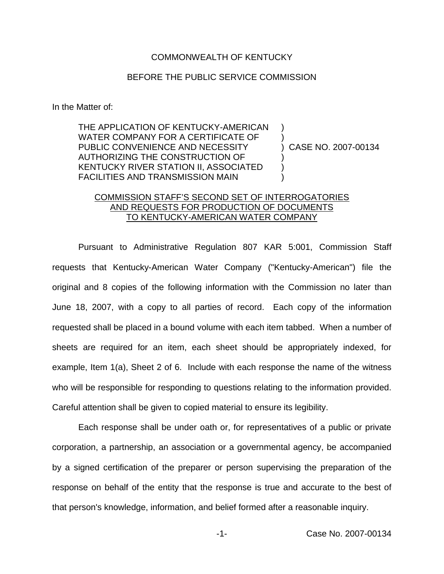## COMMONWEALTH OF KENTUCKY

## BEFORE THE PUBLIC SERVICE COMMISSION

In the Matter of:

THE APPLICATION OF KENTUCKY-AMERICAN WATER COMPANY FOR A CERTIFICATE OF PUBLIC CONVENIENCE AND NECESSITY AUTHORIZING THE CONSTRUCTION OF KENTUCKY RIVER STATION II, ASSOCIATED FACILITIES AND TRANSMISSION MAIN

) CASE NO. 2007-00134

) )

) ) )

## COMMISSION STAFF'S SECOND SET OF INTERROGATORIES AND REQUESTS FOR PRODUCTION OF DOCUMENTS TO KENTUCKY-AMERICAN WATER COMPANY

Pursuant to Administrative Regulation 807 KAR 5:001, Commission Staff requests that Kentucky-American Water Company ("Kentucky-American") file the original and 8 copies of the following information with the Commission no later than June 18, 2007, with a copy to all parties of record. Each copy of the information requested shall be placed in a bound volume with each item tabbed. When a number of sheets are required for an item, each sheet should be appropriately indexed, for example, Item 1(a), Sheet 2 of 6. Include with each response the name of the witness who will be responsible for responding to questions relating to the information provided. Careful attention shall be given to copied material to ensure its legibility.

Each response shall be under oath or, for representatives of a public or private corporation, a partnership, an association or a governmental agency, be accompanied by a signed certification of the preparer or person supervising the preparation of the response on behalf of the entity that the response is true and accurate to the best of that person's knowledge, information, and belief formed after a reasonable inquiry.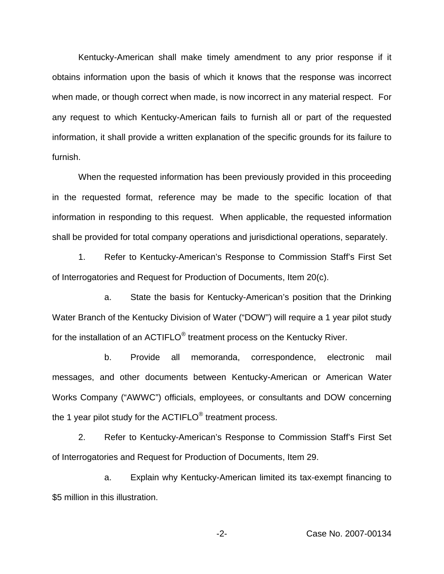Kentucky-American shall make timely amendment to any prior response if it obtains information upon the basis of which it knows that the response was incorrect when made, or though correct when made, is now incorrect in any material respect. For any request to which Kentucky-American fails to furnish all or part of the requested information, it shall provide a written explanation of the specific grounds for its failure to furnish.

When the requested information has been previously provided in this proceeding in the requested format, reference may be made to the specific location of that information in responding to this request. When applicable, the requested information shall be provided for total company operations and jurisdictional operations, separately.

1. Refer to Kentucky-American's Response to Commission Staff's First Set of Interrogatories and Request for Production of Documents, Item 20(c).

a. State the basis for Kentucky-American's position that the Drinking Water Branch of the Kentucky Division of Water ("DOW") will require a 1 year pilot study for the installation of an ACTIFLO® treatment process on the Kentucky River.

b. Provide all memoranda, correspondence, electronic mail messages, and other documents between Kentucky-American or American Water Works Company ("AWWC") officials, employees, or consultants and DOW concerning the 1 year pilot study for the ACTIFLO<sup>®</sup> treatment process.

2. Refer to Kentucky-American's Response to Commission Staff's First Set of Interrogatories and Request for Production of Documents, Item 29.

a. Explain why Kentucky-American limited its tax-exempt financing to \$5 million in this illustration.

-2- Case No. 2007-00134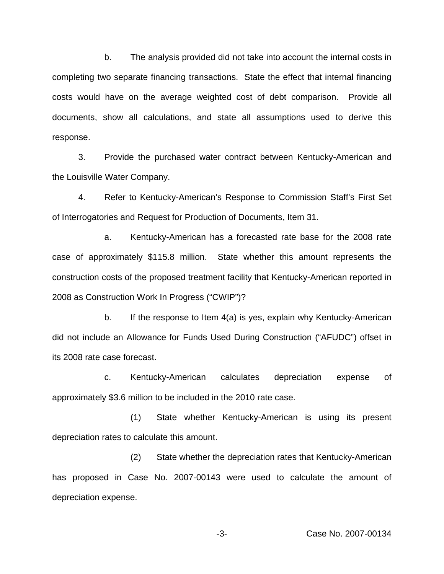b. The analysis provided did not take into account the internal costs in completing two separate financing transactions. State the effect that internal financing costs would have on the average weighted cost of debt comparison. Provide all documents, show all calculations, and state all assumptions used to derive this response.

3. Provide the purchased water contract between Kentucky-American and the Louisville Water Company.

4. Refer to Kentucky-American's Response to Commission Staff's First Set of Interrogatories and Request for Production of Documents, Item 31.

a. Kentucky-American has a forecasted rate base for the 2008 rate case of approximately \$115.8 million. State whether this amount represents the construction costs of the proposed treatment facility that Kentucky-American reported in 2008 as Construction Work In Progress ("CWIP")?

b. If the response to Item 4(a) is yes, explain why Kentucky-American did not include an Allowance for Funds Used During Construction ("AFUDC") offset in its 2008 rate case forecast.

c. Kentucky-American calculates depreciation expense of approximately \$3.6 million to be included in the 2010 rate case.

(1) State whether Kentucky-American is using its present depreciation rates to calculate this amount.

(2) State whether the depreciation rates that Kentucky-American has proposed in Case No. 2007-00143 were used to calculate the amount of depreciation expense.

-3- Case No. 2007-00134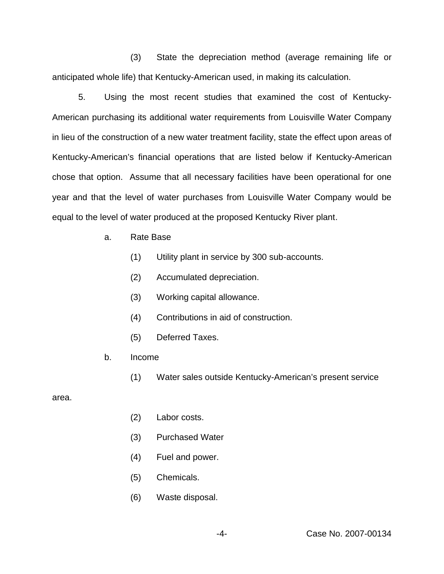(3) State the depreciation method (average remaining life or anticipated whole life) that Kentucky-American used, in making its calculation.

5. Using the most recent studies that examined the cost of Kentucky-American purchasing its additional water requirements from Louisville Water Company in lieu of the construction of a new water treatment facility, state the effect upon areas of Kentucky-American's financial operations that are listed below if Kentucky-American chose that option. Assume that all necessary facilities have been operational for one year and that the level of water purchases from Louisville Water Company would be equal to the level of water produced at the proposed Kentucky River plant.

- a. Rate Base
	- (1) Utility plant in service by 300 sub-accounts.
	- (2) Accumulated depreciation.
	- (3) Working capital allowance.
	- (4) Contributions in aid of construction.
	- (5) Deferred Taxes.
- b. Income
	- (1) Water sales outside Kentucky-American's present service

area.

- (2) Labor costs.
- (3) Purchased Water
- (4) Fuel and power.
- (5) Chemicals.
- (6) Waste disposal.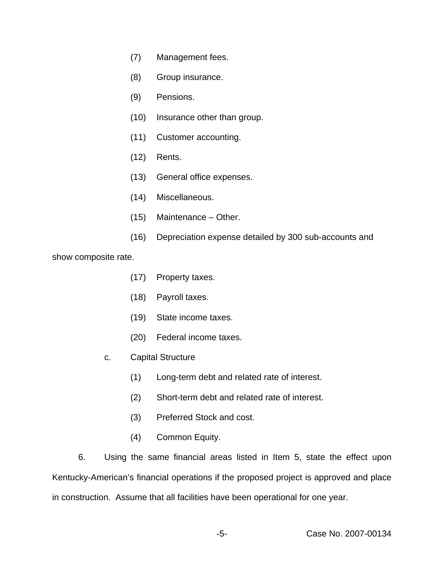- (7) Management fees.
- (8) Group insurance.
- (9) Pensions.
- (10) Insurance other than group.
- (11) Customer accounting.
- (12) Rents.
- (13) General office expenses.
- (14) Miscellaneous.
- (15) Maintenance Other.
- (16) Depreciation expense detailed by 300 sub-accounts and

show composite rate.

- (17) Property taxes.
- (18) Payroll taxes.
- (19) State income taxes.
- (20) Federal income taxes.
- c. Capital Structure
	- (1) Long-term debt and related rate of interest.
	- (2) Short-term debt and related rate of interest.
	- (3) Preferred Stock and cost.
	- (4) Common Equity.

6. Using the same financial areas listed in Item 5, state the effect upon Kentucky-American's financial operations if the proposed project is approved and place in construction. Assume that all facilities have been operational for one year.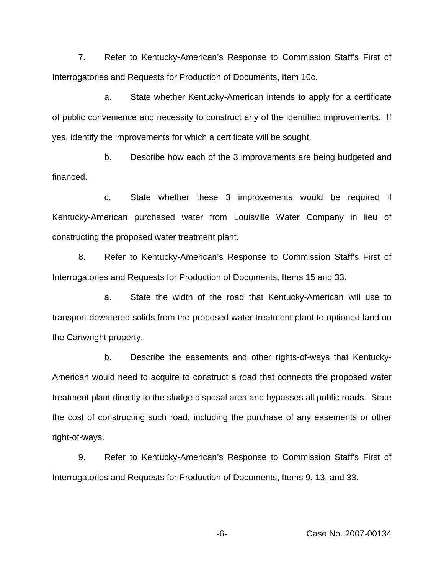7. Refer to Kentucky-American's Response to Commission Staff's First of Interrogatories and Requests for Production of Documents, Item 10c.

a. State whether Kentucky-American intends to apply for a certificate of public convenience and necessity to construct any of the identified improvements. If yes, identify the improvements for which a certificate will be sought.

b. Describe how each of the 3 improvements are being budgeted and financed.

c. State whether these 3 improvements would be required if Kentucky-American purchased water from Louisville Water Company in lieu of constructing the proposed water treatment plant.

8. Refer to Kentucky-American's Response to Commission Staff's First of Interrogatories and Requests for Production of Documents, Items 15 and 33.

a. State the width of the road that Kentucky-American will use to transport dewatered solids from the proposed water treatment plant to optioned land on the Cartwright property.

b. Describe the easements and other rights-of-ways that Kentucky-American would need to acquire to construct a road that connects the proposed water treatment plant directly to the sludge disposal area and bypasses all public roads. State the cost of constructing such road, including the purchase of any easements or other right-of-ways.

9. Refer to Kentucky-American's Response to Commission Staff's First of Interrogatories and Requests for Production of Documents, Items 9, 13, and 33.

-6- Case No. 2007-00134